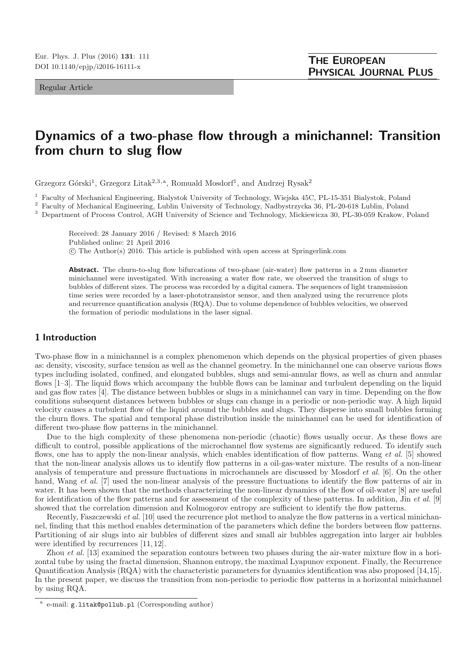Regular Article

# **Dynamics of a two-phase flow through a minichannel: Transition from churn to slug flow**

Grzegorz Górski<sup>1</sup>, Grzegorz Litak<sup>2,3,a</sup>, Romuald Mosdorf<sup>1</sup>, and Andrzej Rysak<sup>2</sup>

<sup>1</sup> Faculty of Mechanical Engineering, Bialystok University of Technology, Wiejska 45C, PL-15-351 Bialystok, Poland

<sup>2</sup> Faculty of Mechanical Engineering, Lublin University of Technology, Nadbystrzycka 36, PL-20-618 Lublin, Poland

<sup>3</sup> Department of Process Control, AGH University of Science and Technology, Mickiewicza 30, PL-30-059 Krakow, Poland

Received: 28 January 2016 / Revised: 8 March 2016

Published online: 21 April 2016

-c The Author(s) 2016. This article is published with open access at Springerlink.com

Abstract. The churn-to-slug flow bifurcations of two-phase (air-water) flow patterns in a 2 mm diameter minichannel were investigated. With increasing a water flow rate, we observed the transition of slugs to bubbles of different sizes. The process was recorded by a digital camera. The sequences of light transmission time series were recorded by a laser-phototransistor sensor, and then analyzed using the recurrence plots and recurrence quantification analysis (RQA). Due to volume dependence of bubbles velocities, we observed the formation of periodic modulations in the laser signal.

## **1 Introduction**

Two-phase flow in a minichannel is a complex phenomenon which depends on the physical properties of given phases as: density, viscosity, surface tension as well as the channel geometry. In the minichannel one can observe various flows types including isolated, confined, and elongated bubbles, slugs and semi-annular flows, as well as churn and annular flows [1–3]. The liquid flows which accompany the bubble flows can be laminar and turbulent depending on the liquid and gas flow rates [4]. The distance between bubbles or slugs in a minichannel can vary in time. Depending on the flow conditions subsequent distances between bubbles or slugs can change in a periodic or non-periodic way. A high liquid velocity causes a turbulent flow of the liquid around the bubbles and slugs. They disperse into small bubbles forming the churn flows. The spatial and temporal phase distribution inside the minichannel can be used for identification of different two-phase flow patterns in the minichannel.

Due to the high complexity of these phenomena non-periodic (chaotic) flows usually occur. As these flows are difficult to control, possible applications of the microchannel flow systems are significantly reduced. To identify such flows, one has to apply the non-linear analysis, which enables identification of flow patterns. Wang et al. [5] showed that the non-linear analysis allows us to identify flow patterns in a oil-gas-water mixture. The results of a non-linear analysis of temperature and pressure fluctuations in microchannels are discussed by Mosdorf et al. [6]. On the other hand, Wang et al. [7] used the non-linear analysis of the pressure fluctuations to identify the flow patterns of air in water. It has been shown that the methods characterizing the non-linear dynamics of the flow of oil-water [8] are useful for identification of the flow patterns and for assessment of the complexity of these patterns. In addition, Jin  $et$  al. [9] showed that the correlation dimension and Kolmogorov entropy are sufficient to identify the flow patterns.

Recently, Faszczewski et al. [10] used the recurrence plot method to analyze the flow patterns in a vertical minichannel, finding that this method enables determination of the parameters which define the borders between flow patterns. Partitioning of air slugs into air bubbles of different sizes and small air bubbles aggregation into larger air bubbles were identified by recurrences [11,12].

Zhou *et al.* [13] examined the separation contours between two phases during the air-water mixture flow in a horizontal tube by using the fractal dimension, Shannon entropy, the maximal Lyapunov exponent. Finally, the Recurrence Quantification Analysis (RQA) with the characteristic parameters for dynamics identification was also proposed [14,15]. In the present paper, we discuss the transition from non-periodic to periodic flow patterns in a horizontal minichannel by using RQA.

e-mail: g.litak@pollub.pl (Corresponding author)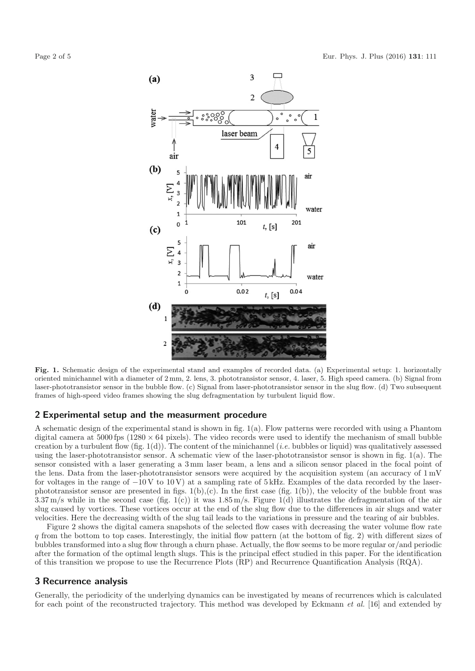

**Fig. 1.** Schematic design of the experimental stand and examples of recorded data. (a) Experimental setup: 1. horizontally oriented minichannel with a diameter of 2 mm, 2. lens, 3. phototransistor sensor, 4. laser, 5. High speed camera. (b) Signal from laser-phototransistor sensor in the bubble flow. (c) Signal from laser-phototransistor sensor in the slug flow. (d) Two subsequent frames of high-speed video frames showing the slug defragmentation by turbulent liquid flow.

#### **2 Experimental setup and the measurment procedure**

A schematic design of the experimental stand is shown in fig. 1(a). Flow patterns were recorded with using a Phantom digital camera at  $5000$  fps  $(1280 \times 64)$  pixels). The video records were used to identify the mechanism of small bubble creation by a turbulent flow  $(fig. 1(d))$ . The content of the minichannel (*i.e.* bubbles or liquid) was qualitatively assessed using the laser-phototransistor sensor. A schematic view of the laser-phototransistor sensor is shown in fig. 1(a). The sensor consisted with a laser generating a 3mm laser beam, a lens and a silicon sensor placed in the focal point of the lens. Data from the laser-phototransistor sensors were acquired by the acquisition system (an accuracy of 1mV for voltages in the range of  $-10V$  to  $10V$ ) at a sampling rate of 5kHz. Examples of the data recorded by the laserphototransistor sensor are presented in figs.  $1(b),(c)$ . In the first case (fig.  $1(b)$ ), the velocity of the bubble front was  $3.37 \text{ m/s}$  while in the second case (fig. 1(c)) it was  $1.85 \text{ m/s}$ . Figure 1(d) illustrates the defragmentation of the air slug caused by vortices. These vortices occur at the end of the slug flow due to the differences in air slugs and water velocities. Here the decreasing width of the slug tail leads to the variations in pressure and the tearing of air bubbles.

Figure 2 shows the digital camera snapshots of the selected flow cases with decreasing the water volume flow rate q from the bottom to top cases. Interestingly, the initial flow pattern (at the bottom of fig. 2) with different sizes of bubbles transformed into a slug flow through a churn phase. Actually, the flow seems to be more regular or/and periodic after the formation of the optimal length slugs. This is the principal effect studied in this paper. For the identification of this transition we propose to use the Recurrence Plots (RP) and Recurrence Quantification Analysis (RQA).

### **3 Recurrence analysis**

Generally, the periodicity of the underlying dynamics can be investigated by means of recurrences which is calculated for each point of the reconstructed trajectory. This method was developed by Eckmann et al. [16] and extended by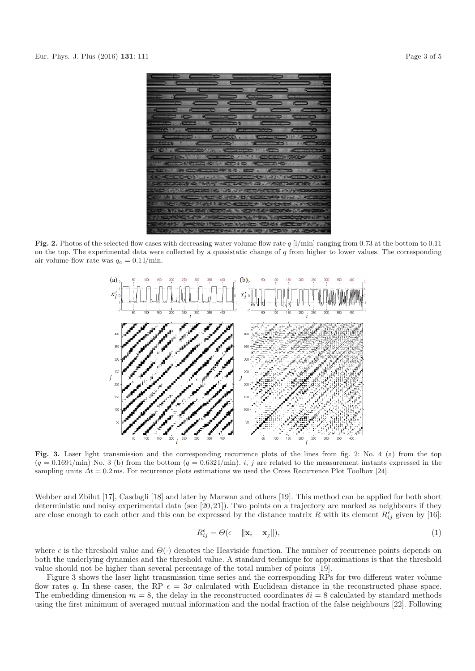

**Fig. 2.** Photos of the selected flow cases with decreasing water volume flow rate  $q$  [l/min] ranging from 0.73 at the bottom to 0.11 on the top. The experimental data were collected by a quasistatic change of  $q$  from higher to lower values. The corresponding air volume flow rate was  $q_a = 0.11/\text{min}$ .



**Fig. 3.** Laser light transmission and the corresponding recurrence plots of the lines from fig. 2: No. 4 (a) from the top  $(q = 0.1691/\text{min})$  No. 3 (b) from the bottom  $(q = 0.6321/\text{min})$ . i, j are related to the measurement instants expressed in the sampling units  $\Delta t = 0.2$  ms. For recurrence plots estimations we used the Cross Recurrence Plot Toolbox [24].

Webber and Zbilut [17], Casdagli [18] and later by Marwan and others [19]. This method can be applied for both short deterministic and noisy experimental data (see [20,21]). Two points on a trajectory are marked as neighbours if they are close enough to each other and this can be expressed by the distance matrix R with its element  $R_{ij}^{\epsilon}$  given by [16]:

$$
R_{ij}^{\epsilon} = \Theta(\epsilon - \|\mathbf{x}_i - \mathbf{x}_j\|),\tag{1}
$$

where  $\epsilon$  is the threshold value and  $\Theta(\cdot)$  denotes the Heaviside function. The number of recurrence points depends on both the underlying dynamics and the threshold value. A standard technique for approximations is that the threshold value should not be higher than several percentage of the total number of points [19].

Figure 3 shows the laser light transmission time series and the corresponding RPs for two different water volume flow rates q. In these cases, the RP  $\epsilon = 3\sigma$  calculated with Euclidean distance in the reconstructed phase space. The embedding dimension  $m = 8$ , the delay in the reconstructed coordinates  $\delta i = 8$  calculated by standard methods using the first minimum of averaged mutual information and the nodal fraction of the false neighbours [22]. Following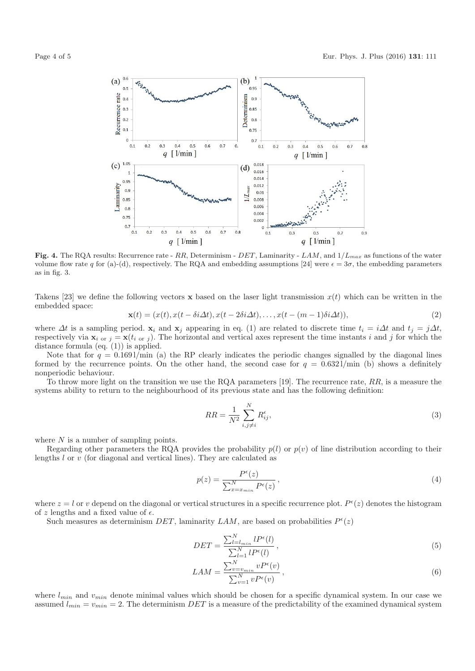



Fig. 4. The RQA results: Recurrence rate - RR, Determinism - DET, Laminarity - LAM, and  $1/L_{max}$  as functions of the water volume flow rate q for (a)-(d), respectively. The RQA and embedding assumptions [24] were  $\epsilon = 3\sigma$ , the embedding parameters as in fig. 3.

Takens [23] we define the following vectors **x** based on the laser light transmission  $x(t)$  which can be written in the embedded space:

$$
\mathbf{x}(t) = (x(t), x(t - \delta i \Delta t), x(t - 2\delta i \Delta t), \dots, x(t - (m - 1)\delta i \Delta t)),
$$
\n(2)

where  $\Delta t$  is a sampling period.  $\mathbf{x}_i$  and  $\mathbf{x}_j$  appearing in eq. (1) are related to discrete time  $t_i = i\Delta t$  and  $t_j = j\Delta t$ , respectively via  $\mathbf{x}_i$  or  $j = \mathbf{x}(t_{i \text{ or } j})$ . The horizontal and vertical axes represent the time instants i and j for which the distance formula (eq. (1)) is applied.

Note that for  $q = 0.1691/\text{min}$  (a) the RP clearly indicates the periodic changes signalled by the diagonal lines formed by the recurrence points. On the other hand, the second case for  $q = 0.6321/\text{min}$  (b) shows a definitely nonperiodic behaviour.

To throw more light on the transition we use the RQA parameters [19]. The recurrence rate,  $RR$ , is a measure the systems ability to return to the neighbourhood of its previous state and has the following definition:

$$
RR = \frac{1}{N^2} \sum_{i,j \neq i}^{N} R_{ij}^{\epsilon},\tag{3}
$$

where  $N$  is a number of sampling points.

Regarding other parameters the RQA provides the probability  $p(l)$  or  $p(v)$  of line distribution according to their lengths l or v (for diagonal and vertical lines). They are calculated as

$$
p(z) = \frac{P^{\epsilon}(z)}{\sum_{x=x_{min}}^{N} P^{\epsilon}(z)},
$$
\n(4)

where  $z = l$  or v depend on the diagonal or vertical structures in a specific recurrence plot.  $P^{\epsilon}(z)$  denotes the histogram of z lengths and a fixed value of  $\epsilon$ .

Such measures as determinism DET, laminarity LAM, are based on probabilities  $P^{\epsilon}(z)$ 

$$
DET = \frac{\sum_{l=l_{min}}^{N} l P^{\epsilon}(l)}{\sum_{l=1}^{N} l P^{\epsilon}(l)},
$$
\n(5)

$$
LAM = \frac{\sum_{v=v_{min}}^{N} v P^{\epsilon}(v)}{\sum_{v=1}^{N} v P^{\epsilon}(v)},
$$
\n(6)

where  $l_{min}$  and  $v_{min}$  denote minimal values which should be chosen for a specific dynamical system. In our case we assumed  $l_{min} = v_{min} = 2$ . The determinism DET is a measure of the predictability of the examined dynamical system